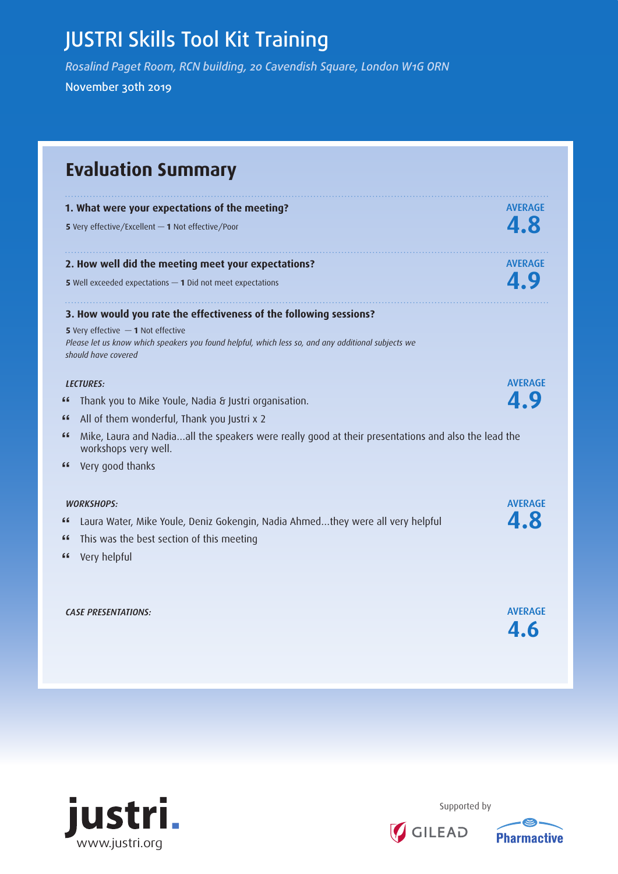## JUSTRI Skills Tool Kit Training

*Rosalind Paget Room, RCN building, 20 Cavendish Square, London W1G ORN* November 30th 2019

**Evaluation Summary 1. What were your expectations of the meeting? AVERAGE <sup>5</sup>**Very effective/Excellent *—* **1** Not effective/Poor **4.8 2. How well did the meeting meet your expectations? AVERAGE 5** Well exceeded expectations **— 1** Did not meet expectations **4.9** and **4.9** and **4.9** and **4.9** and **4.9** and **4.9** and **4.9** and **4.9** and **4.9** and **4.9** and **4.9** and **4.9** and **4.9** and **4.9** and **4.9** and **4.9** and **3. How would you rate the effectiveness of the following sessions? 5** Very effective *—* **1** Not effective *Please let us know which speakers you found helpful, which less so, and any additional subjects we should have covered LECTURES:* AVERAGE **"** Thank you to Mike Youle, Nadia & Justri organisation. **4.9 "** All of them wonderful, Thank you Justri x 2 **"** Mike, Laura and Nadia…all the speakers were really good at their presentations and also the lead the workshops very well. **"** Very good thanks *WORKSHOPS:* AVERAGE **"** Laura Water, Mike Youle, Deniz Gokengin, Nadia Ahmed…they were all very helpful **4.8 "** This was the best section of this meeting **"** Very helpful *CASE PRESENTATIONS:* AVERAGE **4.6**



Supported by

GILEAD